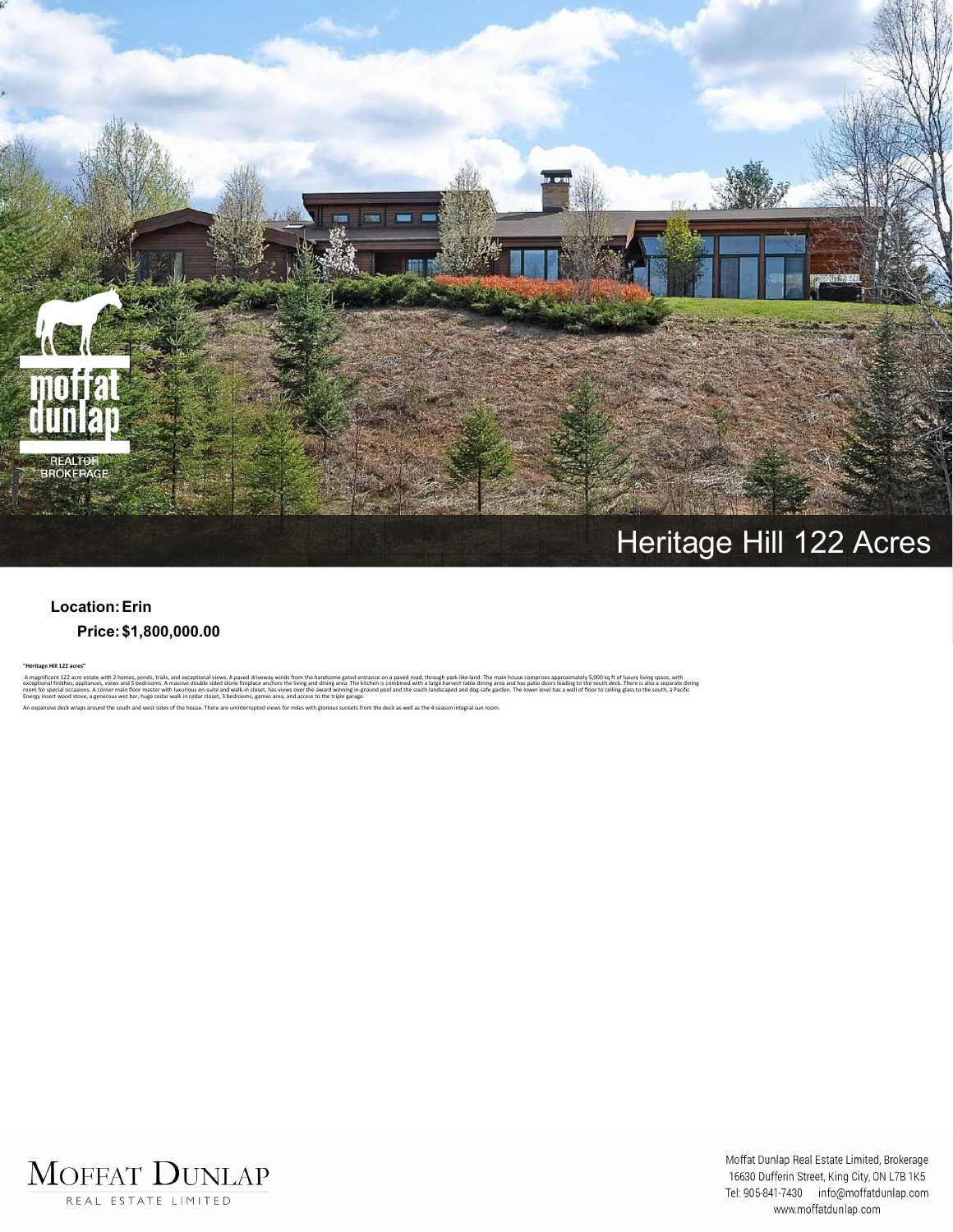

## **Heritage Hill 122 Acres**

## **Location:Erin Price:\$1,800,000.00**

**"Heritage Hill 122 acres"** A magnificent 122 acre estate with 2 homes, ponds, trails, and exceptional views. A paved of wews winds from the handsome gated entrance on a paved road, through park-like land. The main house comprises approximately 5,000

ing and dining area. The kit<br>ver the award winning in-gro<br>access to the triple garage.

ve deck wraps around the south and west sides of the house. There are uninterrupted views for miles with glorious sunsets from the deck as well as the 4 season integral sun room



Moffat Dunlap Real Estate Limited, Brokerage 16630 Dufferin Street, King City, ON L7B 1K5 Tel: 905-841-7430 info@moffatdunlap.com www.moffatdunlap.com